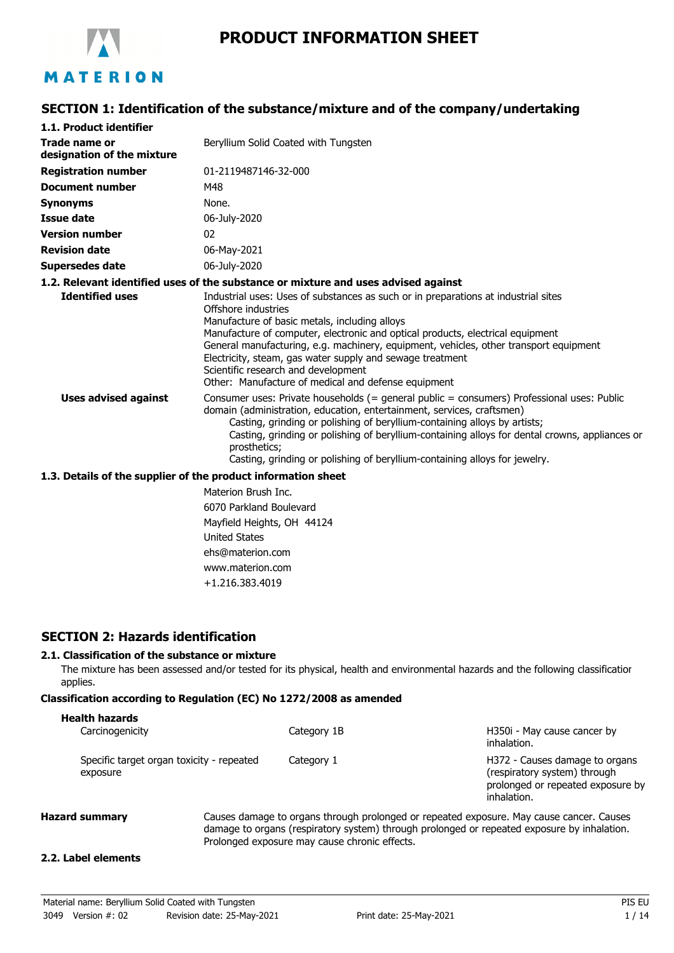

# **PRODUCT INFORMATION SHEET**

## **SECTION 1: Identification of the substance/mixture and of the company/undertaking**

| 1.1. Product identifier                     |                                                                                                                                                                                                                                                                                                                                                                                                                                                                                                  |
|---------------------------------------------|--------------------------------------------------------------------------------------------------------------------------------------------------------------------------------------------------------------------------------------------------------------------------------------------------------------------------------------------------------------------------------------------------------------------------------------------------------------------------------------------------|
| Trade name or<br>designation of the mixture | Beryllium Solid Coated with Tungsten                                                                                                                                                                                                                                                                                                                                                                                                                                                             |
| <b>Registration number</b>                  | 01-2119487146-32-000                                                                                                                                                                                                                                                                                                                                                                                                                                                                             |
| <b>Document number</b>                      | M48                                                                                                                                                                                                                                                                                                                                                                                                                                                                                              |
| Synonyms                                    | None.                                                                                                                                                                                                                                                                                                                                                                                                                                                                                            |
| <b>Issue date</b>                           | 06-July-2020                                                                                                                                                                                                                                                                                                                                                                                                                                                                                     |
| <b>Version number</b>                       | 02                                                                                                                                                                                                                                                                                                                                                                                                                                                                                               |
| <b>Revision date</b>                        | 06-May-2021                                                                                                                                                                                                                                                                                                                                                                                                                                                                                      |
| Supersedes date                             | 06-July-2020                                                                                                                                                                                                                                                                                                                                                                                                                                                                                     |
|                                             | 1.2. Relevant identified uses of the substance or mixture and uses advised against                                                                                                                                                                                                                                                                                                                                                                                                               |
| <b>Identified uses</b>                      | Industrial uses: Uses of substances as such or in preparations at industrial sites<br>Offshore industries<br>Manufacture of basic metals, including alloys<br>Manufacture of computer, electronic and optical products, electrical equipment<br>General manufacturing, e.g. machinery, equipment, vehicles, other transport equipment<br>Electricity, steam, gas water supply and sewage treatment<br>Scientific research and development<br>Other: Manufacture of medical and defense equipment |
| <b>Uses advised against</b>                 | Consumer uses: Private households (= general public = consumers) Professional uses: Public<br>domain (administration, education, entertainment, services, craftsmen)<br>Casting, grinding or polishing of beryllium-containing alloys by artists;<br>Casting, grinding or polishing of beryllium-containing alloys for dental crowns, appliances or<br>prosthetics:<br>Casting, grinding or polishing of beryllium-containing alloys for jewelry.                                                |

#### **1.3. Details of the supplier of the product information sheet**

Materion Brush Inc. 6070 Parkland Boulevard Mayfield Heights, OH 44124 United States ehs@materion.com www.materion.com +1.216.383.4019

#### **SECTION 2: Hazards identification**

#### **2.1. Classification of the substance or mixture**

The mixture has been assessed and/or tested for its physical, health and environmental hazards and the following classification applies.

#### **Classification according to Regulation (EC) No 1272/2008 as amended**

| <b>Health hazards</b>                                 |             |                                                                                                                    |
|-------------------------------------------------------|-------------|--------------------------------------------------------------------------------------------------------------------|
| Carcinogenicity                                       | Category 1B | H350i - May cause cancer by<br>inhalation.                                                                         |
| Specific target organ toxicity - repeated<br>exposure | Category 1  | H372 - Causes damage to organs<br>(respiratory system) through<br>prolonged or repeated exposure by<br>inhalation. |

**Hazard summary** Causes damage to organs through prolonged or repeated exposure. May cause cancer. Causes damage to organs (respiratory system) through prolonged or repeated exposure by inhalation. Prolonged exposure may cause chronic effects.

#### **2.2. Label elements**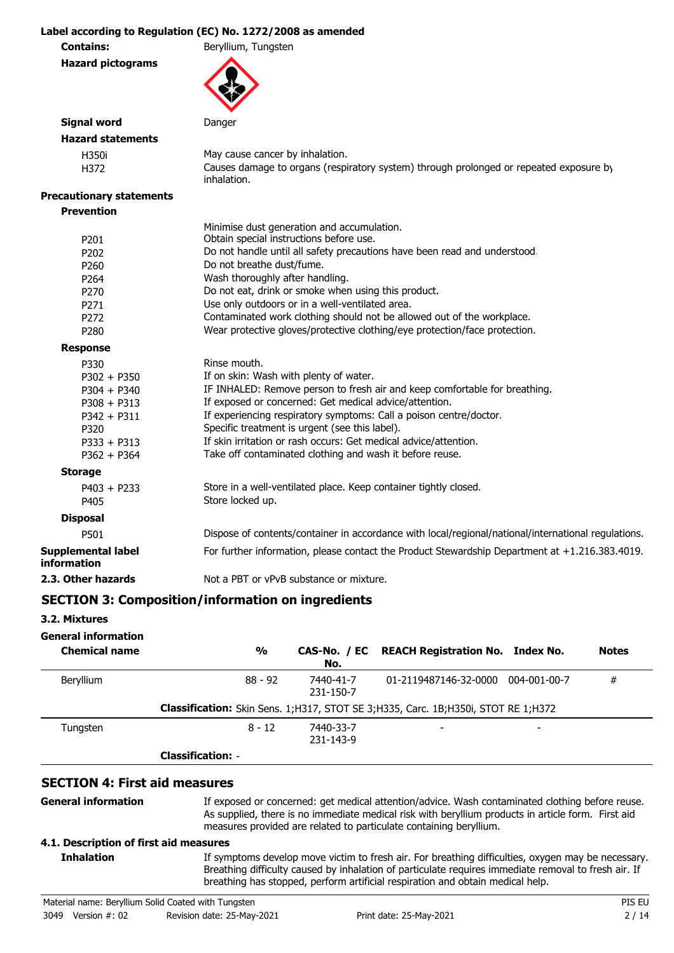#### **Label according to Regulation (EC) No. 1272/2008 as amended**

**Contains:** Beryllium, Tungsten

**Hazard pictograms**



### **Signal word** Danger **Hazard statements** H350i May cause cancer by inhalation. H372 Causes damage to organs (respiratory system) through prolonged or repeated exposure by inhalation. **Precautionary statements Prevention** Minimise dust generation and accumulation.

|                                   | Minimise dust generation and accumulation.                                                          |
|-----------------------------------|-----------------------------------------------------------------------------------------------------|
| P <sub>201</sub>                  | Obtain special instructions before use.                                                             |
| P <sub>202</sub>                  | Do not handle until all safety precautions have been read and understood.                           |
| P <sub>260</sub>                  | Do not breathe dust/fume.                                                                           |
| P <sub>264</sub>                  | Wash thoroughly after handling.                                                                     |
| P <sub>270</sub>                  | Do not eat, drink or smoke when using this product.                                                 |
| P271                              | Use only outdoors or in a well-ventilated area.                                                     |
| P <sub>272</sub>                  | Contaminated work clothing should not be allowed out of the workplace.                              |
| P <sub>280</sub>                  | Wear protective gloves/protective clothing/eye protection/face protection.                          |
| <b>Response</b>                   |                                                                                                     |
| P330                              | Rinse mouth.                                                                                        |
| $P302 + P350$                     | If on skin: Wash with plenty of water.                                                              |
| $P304 + P340$                     | IF INHALED: Remove person to fresh air and keep comfortable for breathing.                          |
| $P308 + P313$                     | If exposed or concerned: Get medical advice/attention.                                              |
| $P342 + P311$                     | If experiencing respiratory symptoms: Call a poison centre/doctor.                                  |
| P320                              | Specific treatment is urgent (see this label).                                                      |
| $P333 + P313$                     | If skin irritation or rash occurs: Get medical advice/attention.                                    |
| $P362 + P364$                     | Take off contaminated clothing and wash it before reuse.                                            |
| <b>Storage</b>                    |                                                                                                     |
| $P403 + P233$                     | Store in a well-ventilated place. Keep container tightly closed.                                    |
| P405                              | Store locked up.                                                                                    |
| <b>Disposal</b>                   |                                                                                                     |
| P501                              | Dispose of contents/container in accordance with local/regional/national/international regulations. |
| Supplemental label<br>information | For further information, please contact the Product Stewardship Department at +1.216.383.4019.      |
| 2.3. Other hazards                | Not a PBT or yPvB substance or mixture.                                                             |

# **SECTION 3: Composition/information on ingredients**

#### **3.2. Mixtures**

| <b>General information</b><br><b>Chemical name</b> | $\frac{0}{0}$            | No.                    | CAS-No. / EC REACH Registration No. Index No.                                            |              | <b>Notes</b> |
|----------------------------------------------------|--------------------------|------------------------|------------------------------------------------------------------------------------------|--------------|--------------|
| <b>Beryllium</b>                                   | $88 - 92$                | 7440-41-7<br>231-150-7 | 01-2119487146-32-0000                                                                    | 004-001-00-7 | #            |
|                                                    |                          |                        | <b>Classification:</b> Skin Sens. 1;H317, STOT SE 3;H335, Carc. 1B;H350i, STOT RE 1;H372 |              |              |
| Tungsten                                           | $8 - 12$                 | 7440-33-7<br>231-143-9 |                                                                                          |              |              |
|                                                    | <b>Classification: -</b> |                        |                                                                                          |              |              |

## **SECTION 4: First aid measures**

**General information**

**Inhalation**

If exposed or concerned: get medical attention/advice. Wash contaminated clothing before reuse. As supplied, there is no immediate medical risk with beryllium products in article form. First aid measures provided are related to particulate containing beryllium.

#### **4.1. Description of first aid measures**

If symptoms develop move victim to fresh air. For breathing difficulties, oxygen may be necessary. Breathing difficulty caused by inhalation of particulate requires immediate removal to fresh air. If breathing has stopped, perform artificial respiration and obtain medical help.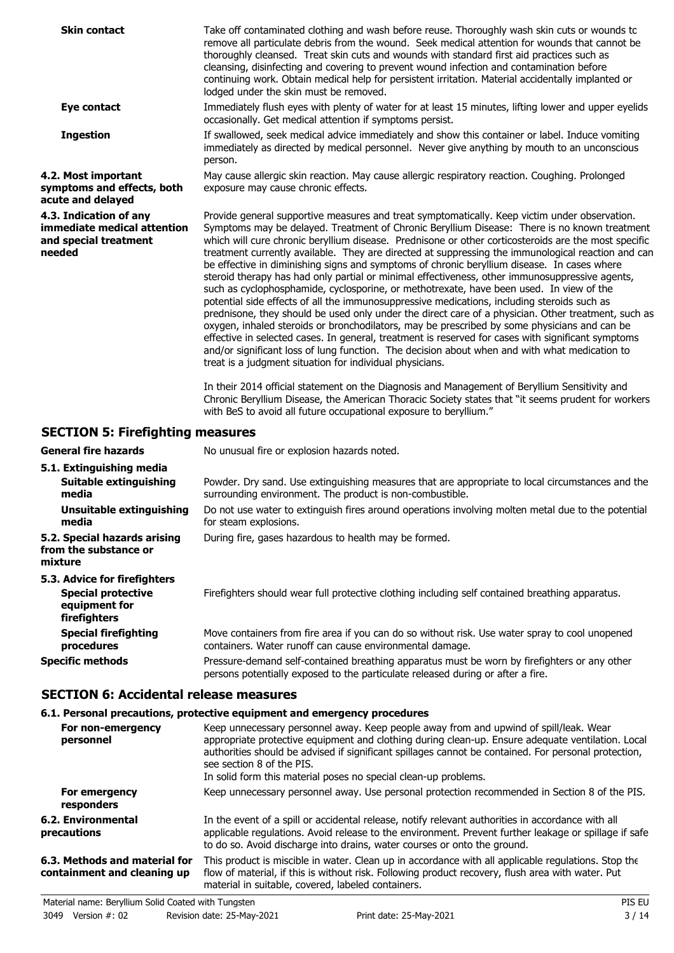| Take off contaminated clothing and wash before reuse. Thoroughly wash skin cuts or wounds to<br>remove all particulate debris from the wound. Seek medical attention for wounds that cannot be<br>thoroughly cleansed. Treat skin cuts and wounds with standard first aid practices such as<br>cleansing, disinfecting and covering to prevent wound infection and contamination before<br>continuing work. Obtain medical help for persistent irritation. Material accidentally implanted or<br>lodged under the skin must be removed.                                                                                                                                                                                                                                                                                                                                                                                                                                                                                                                                                                                                                                                                                                                                                                                                                                                                                                                                                                                                                      |
|--------------------------------------------------------------------------------------------------------------------------------------------------------------------------------------------------------------------------------------------------------------------------------------------------------------------------------------------------------------------------------------------------------------------------------------------------------------------------------------------------------------------------------------------------------------------------------------------------------------------------------------------------------------------------------------------------------------------------------------------------------------------------------------------------------------------------------------------------------------------------------------------------------------------------------------------------------------------------------------------------------------------------------------------------------------------------------------------------------------------------------------------------------------------------------------------------------------------------------------------------------------------------------------------------------------------------------------------------------------------------------------------------------------------------------------------------------------------------------------------------------------------------------------------------------------|
| Immediately flush eyes with plenty of water for at least 15 minutes, lifting lower and upper eyelids<br>occasionally. Get medical attention if symptoms persist.                                                                                                                                                                                                                                                                                                                                                                                                                                                                                                                                                                                                                                                                                                                                                                                                                                                                                                                                                                                                                                                                                                                                                                                                                                                                                                                                                                                             |
| If swallowed, seek medical advice immediately and show this container or label. Induce vomiting<br>immediately as directed by medical personnel. Never give anything by mouth to an unconscious<br>person.                                                                                                                                                                                                                                                                                                                                                                                                                                                                                                                                                                                                                                                                                                                                                                                                                                                                                                                                                                                                                                                                                                                                                                                                                                                                                                                                                   |
| May cause allergic skin reaction. May cause allergic respiratory reaction. Coughing. Prolonged<br>exposure may cause chronic effects.                                                                                                                                                                                                                                                                                                                                                                                                                                                                                                                                                                                                                                                                                                                                                                                                                                                                                                                                                                                                                                                                                                                                                                                                                                                                                                                                                                                                                        |
| Provide general supportive measures and treat symptomatically. Keep victim under observation.<br>Symptoms may be delayed. Treatment of Chronic Beryllium Disease: There is no known treatment<br>which will cure chronic beryllium disease. Prednisone or other corticosteroids are the most specific<br>treatment currently available. They are directed at suppressing the immunological reaction and can<br>be effective in diminishing signs and symptoms of chronic beryllium disease. In cases where<br>steroid therapy has had only partial or minimal effectiveness, other immunosuppressive agents,<br>such as cyclophosphamide, cyclosporine, or methotrexate, have been used. In view of the<br>potential side effects of all the immunosuppressive medications, including steroids such as<br>prednisone, they should be used only under the direct care of a physician. Other treatment, such as<br>oxygen, inhaled steroids or bronchodilators, may be prescribed by some physicians and can be<br>effective in selected cases. In general, treatment is reserved for cases with significant symptoms<br>and/or significant loss of lung function. The decision about when and with what medication to<br>treat is a judgment situation for individual physicians.<br>In their 2014 official statement on the Diagnosis and Management of Beryllium Sensitivity and<br>Chronic Beryllium Disease, the American Thoracic Society states that "it seems prudent for workers<br>with BeS to avoid all future occupational exposure to beryllium." |
|                                                                                                                                                                                                                                                                                                                                                                                                                                                                                                                                                                                                                                                                                                                                                                                                                                                                                                                                                                                                                                                                                                                                                                                                                                                                                                                                                                                                                                                                                                                                                              |

# **SECTION 5: Firefighting measures**

| <b>General fire hazards</b>                                                                | No unusual fire or explosion hazards noted.                                                                                                                                     |  |  |
|--------------------------------------------------------------------------------------------|---------------------------------------------------------------------------------------------------------------------------------------------------------------------------------|--|--|
| 5.1. Extinguishing media                                                                   |                                                                                                                                                                                 |  |  |
| <b>Suitable extinguishing</b><br>media                                                     | Powder. Dry sand. Use extinguishing measures that are appropriate to local circumstances and the<br>surrounding environment. The product is non-combustible.                    |  |  |
| Unsuitable extinguishing<br>media                                                          | Do not use water to extinguish fires around operations involving molten metal due to the potential<br>for steam explosions.                                                     |  |  |
| 5.2. Special hazards arising<br>from the substance or<br>mixture                           | During fire, gases hazardous to health may be formed.                                                                                                                           |  |  |
| 5.3. Advice for firefighters<br><b>Special protective</b><br>equipment for<br>firefighters | Firefighters should wear full protective clothing including self contained breathing apparatus.                                                                                 |  |  |
| <b>Special firefighting</b><br>procedures                                                  | Move containers from fire area if you can do so without risk. Use water spray to cool unopened<br>containers. Water runoff can cause environmental damage.                      |  |  |
| <b>Specific methods</b>                                                                    | Pressure-demand self-contained breathing apparatus must be worn by firefighters or any other<br>persons potentially exposed to the particulate released during or after a fire. |  |  |

## **SECTION 6: Accidental release measures**

## **6.1. Personal precautions, protective equipment and emergency procedures**

| For non-emergency<br>personnel                               | Keep unnecessary personnel away. Keep people away from and upwind of spill/leak. Wear<br>appropriate protective equipment and clothing during clean-up. Ensure adequate ventilation. Local<br>authorities should be advised if significant spillages cannot be contained. For personal protection,<br>see section 8 of the PIS.<br>In solid form this material poses no special clean-up problems. |
|--------------------------------------------------------------|----------------------------------------------------------------------------------------------------------------------------------------------------------------------------------------------------------------------------------------------------------------------------------------------------------------------------------------------------------------------------------------------------|
| For emergency<br>responders                                  | Keep unnecessary personnel away. Use personal protection recommended in Section 8 of the PIS.                                                                                                                                                                                                                                                                                                      |
| 6.2. Environmental<br><b>precautions</b>                     | In the event of a spill or accidental release, notify relevant authorities in accordance with all<br>applicable regulations. Avoid release to the environment. Prevent further leakage or spillage if safe<br>to do so. Avoid discharge into drains, water courses or onto the ground.                                                                                                             |
| 6.3. Methods and material for<br>containment and cleaning up | This product is miscible in water. Clean up in accordance with all applicable regulations. Stop the<br>flow of material, if this is without risk. Following product recovery, flush area with water. Put<br>material in suitable, covered, labeled containers.                                                                                                                                     |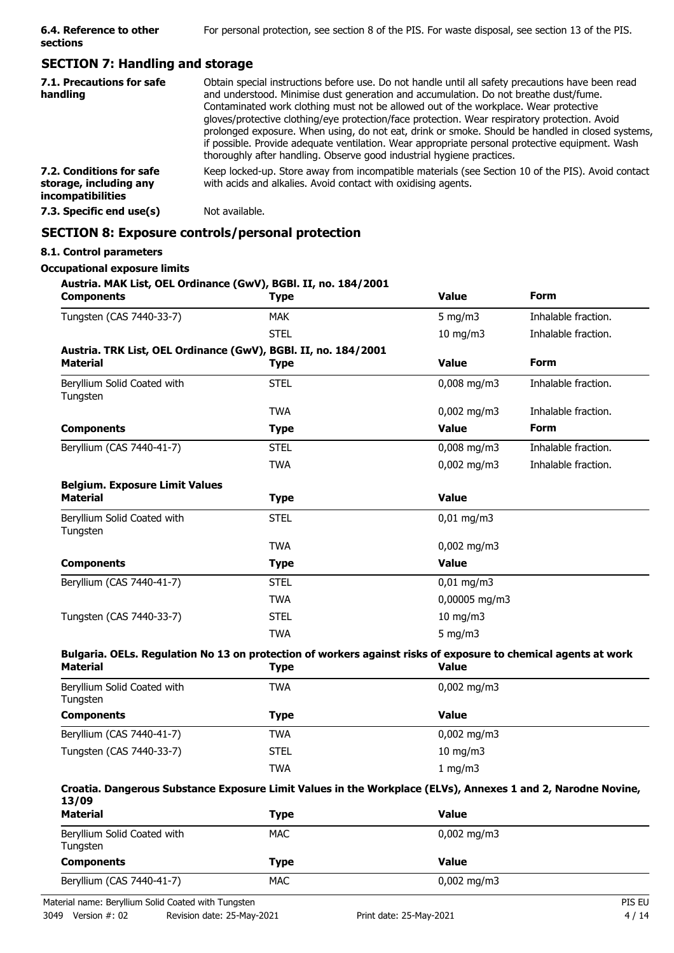## **SECTION 7: Handling and storage**

| 7.1. Precautions for safe<br>handling                                          | Obtain special instructions before use. Do not handle until all safety precautions have been read<br>and understood. Minimise dust generation and accumulation. Do not breathe dust/fume.<br>Contaminated work clothing must not be allowed out of the workplace. Wear protective<br>gloves/protective clothing/eye protection/face protection. Wear respiratory protection. Avoid<br>prolonged exposure. When using, do not eat, drink or smoke. Should be handled in closed systems,<br>if possible. Provide adequate ventilation. Wear appropriate personal protective equipment. Wash<br>thoroughly after handling. Observe good industrial hygiene practices. |
|--------------------------------------------------------------------------------|--------------------------------------------------------------------------------------------------------------------------------------------------------------------------------------------------------------------------------------------------------------------------------------------------------------------------------------------------------------------------------------------------------------------------------------------------------------------------------------------------------------------------------------------------------------------------------------------------------------------------------------------------------------------|
| 7.2. Conditions for safe<br>storage, including any<br><i>incompatibilities</i> | Keep locked-up. Store away from incompatible materials (see Section 10 of the PIS). Avoid contact<br>with acids and alkalies. Avoid contact with oxidising agents.                                                                                                                                                                                                                                                                                                                                                                                                                                                                                                 |
| 7.3. Specific end use(s)                                                       | Not available.                                                                                                                                                                                                                                                                                                                                                                                                                                                                                                                                                                                                                                                     |

## **SECTION 8: Exposure controls/personal protection**

#### **8.1. Control parameters**

## **Occupational exposure limits**

| Austria. MAK List, OEL Ordinance (GwV), BGBI. II, no. 184/2001<br><b>Components</b>                                               | <b>Type</b> | <b>Value</b>          | <b>Form</b>         |
|-----------------------------------------------------------------------------------------------------------------------------------|-------------|-----------------------|---------------------|
| Tungsten (CAS 7440-33-7)                                                                                                          | <b>MAK</b>  | 5 mg/m $3$            | Inhalable fraction. |
|                                                                                                                                   | <b>STEL</b> | $10$ mg/m $3$         | Inhalable fraction. |
| Austria. TRK List, OEL Ordinance (GwV), BGBI. II, no. 184/2001                                                                    |             |                       |                     |
| <b>Material</b>                                                                                                                   | <b>Type</b> | <b>Value</b>          | <b>Form</b>         |
| Beryllium Solid Coated with<br>Tungsten                                                                                           | <b>STEL</b> | $0,008$ mg/m3         | Inhalable fraction. |
|                                                                                                                                   | <b>TWA</b>  | $0,002$ mg/m3         | Inhalable fraction. |
| <b>Components</b>                                                                                                                 | <b>Type</b> | <b>Value</b>          | <b>Form</b>         |
| Beryllium (CAS 7440-41-7)                                                                                                         | <b>STEL</b> | $0,008$ mg/m3         | Inhalable fraction. |
|                                                                                                                                   | <b>TWA</b>  | $0,002$ mg/m3         | Inhalable fraction. |
| <b>Belgium. Exposure Limit Values</b>                                                                                             |             |                       |                     |
| <b>Material</b>                                                                                                                   | <b>Type</b> | <b>Value</b>          |                     |
| Beryllium Solid Coated with<br>Tungsten                                                                                           | <b>STEL</b> | $0,01 \text{ mg/m}$ 3 |                     |
|                                                                                                                                   | <b>TWA</b>  | $0,002$ mg/m3         |                     |
| <b>Components</b>                                                                                                                 | <b>Type</b> | <b>Value</b>          |                     |
| Beryllium (CAS 7440-41-7)                                                                                                         | <b>STEL</b> | $0,01$ mg/m3          |                     |
|                                                                                                                                   | <b>TWA</b>  | 0,00005 mg/m3         |                     |
| Tungsten (CAS 7440-33-7)                                                                                                          | <b>STEL</b> | $10$ mg/m $3$         |                     |
|                                                                                                                                   | <b>TWA</b>  | 5 mg/m $3$            |                     |
| Bulgaria. OELs. Regulation No 13 on protection of workers against risks of exposure to chemical agents at work<br><b>Material</b> | <b>Type</b> | <b>Value</b>          |                     |
| Beryllium Solid Coated with<br>Tungsten                                                                                           | <b>TWA</b>  | $0,002$ mg/m3         |                     |
| <b>Components</b>                                                                                                                 | <b>Type</b> | <b>Value</b>          |                     |
| Beryllium (CAS 7440-41-7)                                                                                                         | <b>TWA</b>  | $0,002$ mg/m3         |                     |
| Tungsten (CAS 7440-33-7)                                                                                                          | <b>STEL</b> | $10$ mg/m $3$         |                     |
|                                                                                                                                   | <b>TWA</b>  | 1 mg/m3               |                     |
| Croatia. Dangerous Substance Exposure Limit Values in the Workplace (ELVs), Annexes 1 and 2, Narodne Novine,<br>13/09             |             |                       |                     |
| <b>Material</b>                                                                                                                   | <b>Type</b> | <b>Value</b>          |                     |
| Beryllium Solid Coated with<br>Tungsten                                                                                           | <b>MAC</b>  | $0,002$ mg/m3         |                     |
| <b>Components</b>                                                                                                                 | <b>Type</b> | <b>Value</b>          |                     |

Beryllium (CAS 7440-41-7) MAC MAC 0,002 mg/m3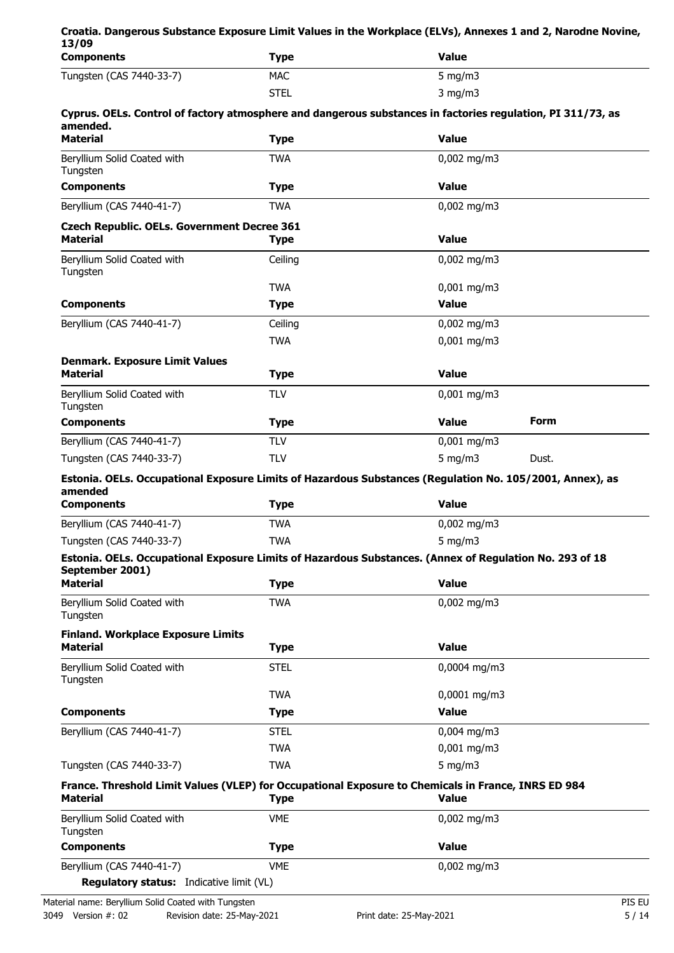| 13/09                                                        |             | Croatia. Dangerous Substance Exposure Limit Values in the Workplace (ELVs), Annexes 1 and 2, Narodne Novine,        |
|--------------------------------------------------------------|-------------|---------------------------------------------------------------------------------------------------------------------|
| <b>Components</b>                                            | <b>Type</b> | <b>Value</b>                                                                                                        |
| Tungsten (CAS 7440-33-7)                                     | <b>MAC</b>  | 5 mg/m $3$                                                                                                          |
|                                                              | <b>STEL</b> | $3$ mg/m $3$                                                                                                        |
| amended.                                                     |             | Cyprus. OELs. Control of factory atmosphere and dangerous substances in factories regulation, PI 311/73, as         |
| <b>Material</b>                                              | <b>Type</b> | <b>Value</b>                                                                                                        |
| Beryllium Solid Coated with<br>Tungsten                      | <b>TWA</b>  | $0,002$ mg/m3                                                                                                       |
| <b>Components</b>                                            | <b>Type</b> | <b>Value</b>                                                                                                        |
| Beryllium (CAS 7440-41-7)                                    | <b>TWA</b>  | $0,002$ mg/m3                                                                                                       |
| <b>Czech Republic. OELs. Government Decree 361</b>           |             |                                                                                                                     |
| <b>Material</b>                                              | <b>Type</b> | <b>Value</b>                                                                                                        |
| Beryllium Solid Coated with<br>Tungsten                      | Ceiling     | $0,002$ mg/m3                                                                                                       |
|                                                              | <b>TWA</b>  | $0,001$ mg/m3                                                                                                       |
| <b>Components</b>                                            | <b>Type</b> | <b>Value</b>                                                                                                        |
| Beryllium (CAS 7440-41-7)                                    | Ceiling     | $0,002$ mg/m3                                                                                                       |
|                                                              | <b>TWA</b>  | $0,001$ mg/m3                                                                                                       |
| <b>Denmark. Exposure Limit Values</b><br><b>Material</b>     | <b>Type</b> | <b>Value</b>                                                                                                        |
| Beryllium Solid Coated with<br>Tungsten                      | <b>TLV</b>  | $0,001$ mg/m3                                                                                                       |
| <b>Components</b>                                            | <b>Type</b> | <b>Value</b><br>Form                                                                                                |
| Beryllium (CAS 7440-41-7)                                    | <b>TLV</b>  | $0,001$ mg/m3                                                                                                       |
| Tungsten (CAS 7440-33-7)                                     | <b>TLV</b>  | $5$ mg/m $3$<br>Dust.                                                                                               |
| amended                                                      |             | Estonia. OELs. Occupational Exposure Limits of Hazardous Substances (Regulation No. 105/2001, Annex), as            |
| <b>Components</b>                                            | <b>Type</b> | <b>Value</b>                                                                                                        |
| Beryllium (CAS 7440-41-7)                                    | <b>TWA</b>  | $0,002$ mg/m3                                                                                                       |
| Tungsten (CAS 7440-33-7)                                     | <b>TWA</b>  | 5 mg/m $3$                                                                                                          |
| September 2001)                                              |             | Estonia. OELs. Occupational Exposure Limits of Hazardous Substances. (Annex of Regulation No. 293 of 18             |
| <b>Material</b>                                              | <b>Type</b> | <b>Value</b>                                                                                                        |
| Beryllium Solid Coated with<br>Tungsten                      | <b>TWA</b>  | $0,002$ mg/m3                                                                                                       |
| <b>Finland. Workplace Exposure Limits</b><br><b>Material</b> | <b>Type</b> | <b>Value</b>                                                                                                        |
| Beryllium Solid Coated with<br>Tungsten                      | <b>STEL</b> | $0,0004 \text{ mg/m}$ 3                                                                                             |
|                                                              | <b>TWA</b>  | 0,0001 mg/m3                                                                                                        |
| <b>Components</b>                                            | <b>Type</b> | <b>Value</b>                                                                                                        |
| Beryllium (CAS 7440-41-7)                                    | <b>STEL</b> | $0,004$ mg/m3                                                                                                       |
|                                                              | <b>TWA</b>  | $0,001$ mg/m3                                                                                                       |
| Tungsten (CAS 7440-33-7)                                     | <b>TWA</b>  | $5$ mg/m $3$                                                                                                        |
| <b>Material</b>                                              | <b>Type</b> | France. Threshold Limit Values (VLEP) for Occupational Exposure to Chemicals in France, INRS ED 984<br><b>Value</b> |
| Beryllium Solid Coated with<br>Tungsten                      | <b>VME</b>  | $0,002$ mg/m3                                                                                                       |
| <b>Components</b>                                            | <b>Type</b> | <b>Value</b>                                                                                                        |
| Beryllium (CAS 7440-41-7)                                    | <b>VME</b>  | $0,002$ mg/m3                                                                                                       |
| Regulatory status: Indicative limit (VL)                     |             |                                                                                                                     |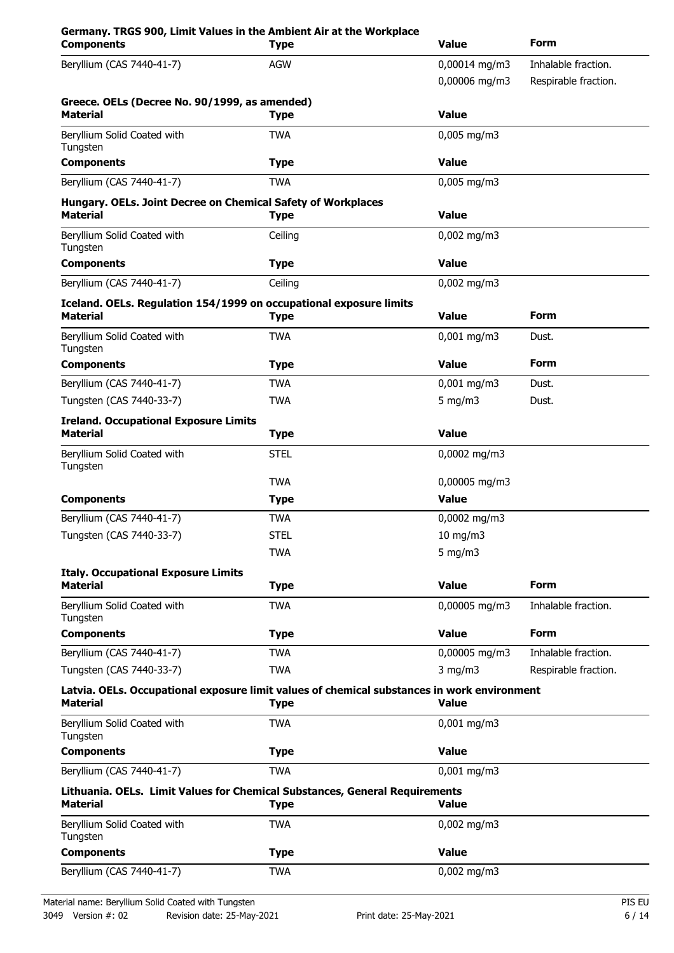| <b>AGW</b><br>0,00014 mg/m3<br>Inhalable fraction.<br>0,00006 mg/m3<br>Respirable fraction.<br><b>Value</b><br><b>Type</b><br>$0,005$ mg/m3<br><b>TWA</b><br><b>Value</b><br><b>Type</b><br><b>TWA</b><br>$0,005$ mg/m3<br><b>Value</b><br><b>Type</b><br>$0,002$ mg/m3<br>Ceiling<br><b>Value</b><br><b>Type</b><br>Ceiling<br>$0,002$ mg/m3<br><b>Form</b><br><b>Value</b><br><b>Material</b><br>Type<br><b>TWA</b><br>$0,001$ mg/m3<br>Dust.<br><b>Form</b><br><b>Value</b><br><b>Type</b><br><b>TWA</b><br>$0,001$ mg/m3<br>Dust.<br>5 mg/m $3$<br><b>TWA</b><br>Dust.<br><b>Value</b><br><b>Type</b><br>0,0002 mg/m3<br><b>STEL</b><br>0,00005 mg/m3<br><b>TWA</b><br><b>Value</b><br><b>Type</b><br><b>TWA</b><br>0,0002 mg/m3<br>10 mg/m3<br><b>STEL</b><br><b>TWA</b><br>5 mg/m $3$<br><b>Form</b><br><b>Value</b><br><b>Type</b><br>Beryllium Solid Coated with<br><b>TWA</b><br>0,00005 mg/m3<br>Inhalable fraction.<br>Tungsten<br><b>Form</b><br><b>Value</b><br><b>Type</b><br>Beryllium (CAS 7440-41-7)<br>Inhalable fraction.<br><b>TWA</b><br>0,00005 mg/m3<br><b>TWA</b><br>$3$ mg/m $3$<br>Respirable fraction.<br><b>Value</b><br><b>Type</b><br><b>TWA</b><br>$0,001$ mg/m3<br><b>Value</b><br><b>Type</b><br><b>TWA</b><br>$0,001$ mg/m3<br><b>Value</b><br><b>Type</b><br>Beryllium Solid Coated with<br><b>TWA</b><br>$0,002$ mg/m3<br><b>Value</b><br><b>Type</b><br>Beryllium (CAS 7440-41-7)<br>$0,002$ mg/m3<br><b>TWA</b> | Germany. TRGS 900, Limit Values in the Ambient Air at the Workplace<br><b>Components</b> | <b>Type</b> | <b>Value</b> | <b>Form</b> |
|-------------------------------------------------------------------------------------------------------------------------------------------------------------------------------------------------------------------------------------------------------------------------------------------------------------------------------------------------------------------------------------------------------------------------------------------------------------------------------------------------------------------------------------------------------------------------------------------------------------------------------------------------------------------------------------------------------------------------------------------------------------------------------------------------------------------------------------------------------------------------------------------------------------------------------------------------------------------------------------------------------------------------------------------------------------------------------------------------------------------------------------------------------------------------------------------------------------------------------------------------------------------------------------------------------------------------------------------------------------------------------------------------------------------------------------------------------|------------------------------------------------------------------------------------------|-------------|--------------|-------------|
| Greece. OELs (Decree No. 90/1999, as amended)<br><b>Material</b><br>Beryllium Solid Coated with<br>Tungsten<br><b>Components</b><br>Beryllium (CAS 7440-41-7)<br>Hungary. OELs. Joint Decree on Chemical Safety of Workplaces<br><b>Material</b><br>Beryllium Solid Coated with<br>Tungsten<br><b>Components</b><br>Beryllium (CAS 7440-41-7)<br>Iceland. OELs. Regulation 154/1999 on occupational exposure limits<br>Beryllium Solid Coated with<br>Tungsten<br><b>Components</b><br>Beryllium (CAS 7440-41-7)<br>Tungsten (CAS 7440-33-7)<br><b>Ireland. Occupational Exposure Limits</b><br><b>Material</b><br>Beryllium Solid Coated with<br>Tungsten<br><b>Components</b><br>Beryllium (CAS 7440-41-7)<br>Tungsten (CAS 7440-33-7)<br><b>Italy. Occupational Exposure Limits</b><br><b>Material</b><br><b>Components</b><br>Tungsten (CAS 7440-33-7)<br>Latvia. OELs. Occupational exposure limit values of chemical substances in work environment<br><b>Material</b><br>Beryllium Solid Coated with<br>Tungsten<br><b>Components</b><br>Beryllium (CAS 7440-41-7)<br>Lithuania. OELs. Limit Values for Chemical Substances, General Requirements<br><b>Material</b><br>Tungsten<br><b>Components</b>                                                                                                                                                                                                                                          | Beryllium (CAS 7440-41-7)                                                                |             |              |             |
|                                                                                                                                                                                                                                                                                                                                                                                                                                                                                                                                                                                                                                                                                                                                                                                                                                                                                                                                                                                                                                                                                                                                                                                                                                                                                                                                                                                                                                                       |                                                                                          |             |              |             |
|                                                                                                                                                                                                                                                                                                                                                                                                                                                                                                                                                                                                                                                                                                                                                                                                                                                                                                                                                                                                                                                                                                                                                                                                                                                                                                                                                                                                                                                       |                                                                                          |             |              |             |
|                                                                                                                                                                                                                                                                                                                                                                                                                                                                                                                                                                                                                                                                                                                                                                                                                                                                                                                                                                                                                                                                                                                                                                                                                                                                                                                                                                                                                                                       |                                                                                          |             |              |             |
|                                                                                                                                                                                                                                                                                                                                                                                                                                                                                                                                                                                                                                                                                                                                                                                                                                                                                                                                                                                                                                                                                                                                                                                                                                                                                                                                                                                                                                                       |                                                                                          |             |              |             |
|                                                                                                                                                                                                                                                                                                                                                                                                                                                                                                                                                                                                                                                                                                                                                                                                                                                                                                                                                                                                                                                                                                                                                                                                                                                                                                                                                                                                                                                       |                                                                                          |             |              |             |
|                                                                                                                                                                                                                                                                                                                                                                                                                                                                                                                                                                                                                                                                                                                                                                                                                                                                                                                                                                                                                                                                                                                                                                                                                                                                                                                                                                                                                                                       |                                                                                          |             |              |             |
|                                                                                                                                                                                                                                                                                                                                                                                                                                                                                                                                                                                                                                                                                                                                                                                                                                                                                                                                                                                                                                                                                                                                                                                                                                                                                                                                                                                                                                                       |                                                                                          |             |              |             |
|                                                                                                                                                                                                                                                                                                                                                                                                                                                                                                                                                                                                                                                                                                                                                                                                                                                                                                                                                                                                                                                                                                                                                                                                                                                                                                                                                                                                                                                       |                                                                                          |             |              |             |
|                                                                                                                                                                                                                                                                                                                                                                                                                                                                                                                                                                                                                                                                                                                                                                                                                                                                                                                                                                                                                                                                                                                                                                                                                                                                                                                                                                                                                                                       |                                                                                          |             |              |             |
|                                                                                                                                                                                                                                                                                                                                                                                                                                                                                                                                                                                                                                                                                                                                                                                                                                                                                                                                                                                                                                                                                                                                                                                                                                                                                                                                                                                                                                                       |                                                                                          |             |              |             |
|                                                                                                                                                                                                                                                                                                                                                                                                                                                                                                                                                                                                                                                                                                                                                                                                                                                                                                                                                                                                                                                                                                                                                                                                                                                                                                                                                                                                                                                       |                                                                                          |             |              |             |
|                                                                                                                                                                                                                                                                                                                                                                                                                                                                                                                                                                                                                                                                                                                                                                                                                                                                                                                                                                                                                                                                                                                                                                                                                                                                                                                                                                                                                                                       |                                                                                          |             |              |             |
|                                                                                                                                                                                                                                                                                                                                                                                                                                                                                                                                                                                                                                                                                                                                                                                                                                                                                                                                                                                                                                                                                                                                                                                                                                                                                                                                                                                                                                                       |                                                                                          |             |              |             |
|                                                                                                                                                                                                                                                                                                                                                                                                                                                                                                                                                                                                                                                                                                                                                                                                                                                                                                                                                                                                                                                                                                                                                                                                                                                                                                                                                                                                                                                       |                                                                                          |             |              |             |
|                                                                                                                                                                                                                                                                                                                                                                                                                                                                                                                                                                                                                                                                                                                                                                                                                                                                                                                                                                                                                                                                                                                                                                                                                                                                                                                                                                                                                                                       |                                                                                          |             |              |             |
|                                                                                                                                                                                                                                                                                                                                                                                                                                                                                                                                                                                                                                                                                                                                                                                                                                                                                                                                                                                                                                                                                                                                                                                                                                                                                                                                                                                                                                                       |                                                                                          |             |              |             |
|                                                                                                                                                                                                                                                                                                                                                                                                                                                                                                                                                                                                                                                                                                                                                                                                                                                                                                                                                                                                                                                                                                                                                                                                                                                                                                                                                                                                                                                       |                                                                                          |             |              |             |
|                                                                                                                                                                                                                                                                                                                                                                                                                                                                                                                                                                                                                                                                                                                                                                                                                                                                                                                                                                                                                                                                                                                                                                                                                                                                                                                                                                                                                                                       |                                                                                          |             |              |             |
|                                                                                                                                                                                                                                                                                                                                                                                                                                                                                                                                                                                                                                                                                                                                                                                                                                                                                                                                                                                                                                                                                                                                                                                                                                                                                                                                                                                                                                                       |                                                                                          |             |              |             |
|                                                                                                                                                                                                                                                                                                                                                                                                                                                                                                                                                                                                                                                                                                                                                                                                                                                                                                                                                                                                                                                                                                                                                                                                                                                                                                                                                                                                                                                       |                                                                                          |             |              |             |
|                                                                                                                                                                                                                                                                                                                                                                                                                                                                                                                                                                                                                                                                                                                                                                                                                                                                                                                                                                                                                                                                                                                                                                                                                                                                                                                                                                                                                                                       |                                                                                          |             |              |             |
|                                                                                                                                                                                                                                                                                                                                                                                                                                                                                                                                                                                                                                                                                                                                                                                                                                                                                                                                                                                                                                                                                                                                                                                                                                                                                                                                                                                                                                                       |                                                                                          |             |              |             |
|                                                                                                                                                                                                                                                                                                                                                                                                                                                                                                                                                                                                                                                                                                                                                                                                                                                                                                                                                                                                                                                                                                                                                                                                                                                                                                                                                                                                                                                       |                                                                                          |             |              |             |
|                                                                                                                                                                                                                                                                                                                                                                                                                                                                                                                                                                                                                                                                                                                                                                                                                                                                                                                                                                                                                                                                                                                                                                                                                                                                                                                                                                                                                                                       |                                                                                          |             |              |             |
|                                                                                                                                                                                                                                                                                                                                                                                                                                                                                                                                                                                                                                                                                                                                                                                                                                                                                                                                                                                                                                                                                                                                                                                                                                                                                                                                                                                                                                                       |                                                                                          |             |              |             |
|                                                                                                                                                                                                                                                                                                                                                                                                                                                                                                                                                                                                                                                                                                                                                                                                                                                                                                                                                                                                                                                                                                                                                                                                                                                                                                                                                                                                                                                       |                                                                                          |             |              |             |
|                                                                                                                                                                                                                                                                                                                                                                                                                                                                                                                                                                                                                                                                                                                                                                                                                                                                                                                                                                                                                                                                                                                                                                                                                                                                                                                                                                                                                                                       |                                                                                          |             |              |             |
|                                                                                                                                                                                                                                                                                                                                                                                                                                                                                                                                                                                                                                                                                                                                                                                                                                                                                                                                                                                                                                                                                                                                                                                                                                                                                                                                                                                                                                                       |                                                                                          |             |              |             |
|                                                                                                                                                                                                                                                                                                                                                                                                                                                                                                                                                                                                                                                                                                                                                                                                                                                                                                                                                                                                                                                                                                                                                                                                                                                                                                                                                                                                                                                       |                                                                                          |             |              |             |
|                                                                                                                                                                                                                                                                                                                                                                                                                                                                                                                                                                                                                                                                                                                                                                                                                                                                                                                                                                                                                                                                                                                                                                                                                                                                                                                                                                                                                                                       |                                                                                          |             |              |             |
|                                                                                                                                                                                                                                                                                                                                                                                                                                                                                                                                                                                                                                                                                                                                                                                                                                                                                                                                                                                                                                                                                                                                                                                                                                                                                                                                                                                                                                                       |                                                                                          |             |              |             |
|                                                                                                                                                                                                                                                                                                                                                                                                                                                                                                                                                                                                                                                                                                                                                                                                                                                                                                                                                                                                                                                                                                                                                                                                                                                                                                                                                                                                                                                       |                                                                                          |             |              |             |
|                                                                                                                                                                                                                                                                                                                                                                                                                                                                                                                                                                                                                                                                                                                                                                                                                                                                                                                                                                                                                                                                                                                                                                                                                                                                                                                                                                                                                                                       |                                                                                          |             |              |             |
|                                                                                                                                                                                                                                                                                                                                                                                                                                                                                                                                                                                                                                                                                                                                                                                                                                                                                                                                                                                                                                                                                                                                                                                                                                                                                                                                                                                                                                                       |                                                                                          |             |              |             |
|                                                                                                                                                                                                                                                                                                                                                                                                                                                                                                                                                                                                                                                                                                                                                                                                                                                                                                                                                                                                                                                                                                                                                                                                                                                                                                                                                                                                                                                       |                                                                                          |             |              |             |
|                                                                                                                                                                                                                                                                                                                                                                                                                                                                                                                                                                                                                                                                                                                                                                                                                                                                                                                                                                                                                                                                                                                                                                                                                                                                                                                                                                                                                                                       |                                                                                          |             |              |             |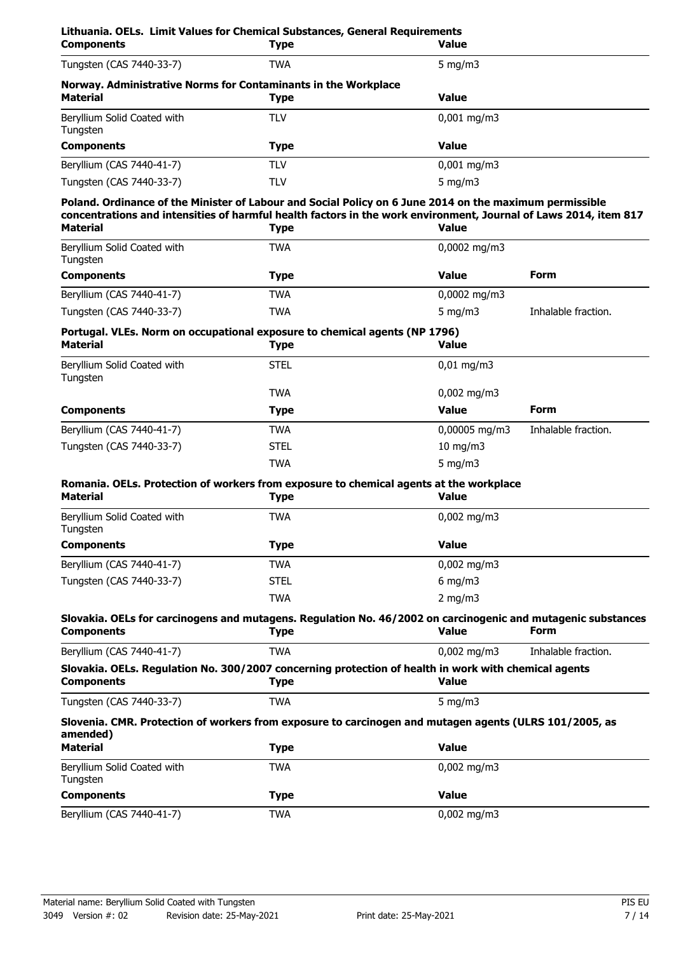| Lithuania. OELs. Limit Values for Chemical Substances, General Requirements<br><b>Components</b>                                                                                                                                               | <b>Type</b> | <b>Value</b>           |                     |
|------------------------------------------------------------------------------------------------------------------------------------------------------------------------------------------------------------------------------------------------|-------------|------------------------|---------------------|
| Tungsten (CAS 7440-33-7)                                                                                                                                                                                                                       | <b>TWA</b>  | 5 mg/m $3$             |                     |
| Norway. Administrative Norms for Contaminants in the Workplace<br><b>Material</b>                                                                                                                                                              | <b>Type</b> | <b>Value</b>           |                     |
| Beryllium Solid Coated with<br>Tungsten                                                                                                                                                                                                        | <b>TLV</b>  | $0,001$ mg/m3          |                     |
| <b>Components</b>                                                                                                                                                                                                                              | <b>Type</b> | <b>Value</b>           |                     |
| Beryllium (CAS 7440-41-7)                                                                                                                                                                                                                      | <b>TLV</b>  | $0,001$ mg/m3          |                     |
| Tungsten (CAS 7440-33-7)                                                                                                                                                                                                                       | <b>TLV</b>  | 5 mg/m $3$             |                     |
| Poland. Ordinance of the Minister of Labour and Social Policy on 6 June 2014 on the maximum permissible<br>concentrations and intensities of harmful health factors in the work environment, Journal of Laws 2014, item 817<br><b>Material</b> | <b>Type</b> | <b>Value</b>           |                     |
| Beryllium Solid Coated with<br>Tungsten                                                                                                                                                                                                        | <b>TWA</b>  | 0,0002 mg/m3           |                     |
| <b>Components</b>                                                                                                                                                                                                                              | <b>Type</b> | <b>Value</b>           | <b>Form</b>         |
| Beryllium (CAS 7440-41-7)                                                                                                                                                                                                                      | <b>TWA</b>  | 0,0002 mg/m3           |                     |
| Tungsten (CAS 7440-33-7)                                                                                                                                                                                                                       | <b>TWA</b>  | 5 mg/m $3$             | Inhalable fraction. |
| Portugal. VLEs. Norm on occupational exposure to chemical agents (NP 1796)<br><b>Material</b>                                                                                                                                                  | <b>Type</b> | <b>Value</b>           |                     |
| Beryllium Solid Coated with<br>Tungsten                                                                                                                                                                                                        | <b>STEL</b> | $0,01$ mg/m3           |                     |
|                                                                                                                                                                                                                                                | <b>TWA</b>  | $0,002$ mg/m3          |                     |
| <b>Components</b>                                                                                                                                                                                                                              | <b>Type</b> | <b>Value</b>           | <b>Form</b>         |
| Beryllium (CAS 7440-41-7)                                                                                                                                                                                                                      | <b>TWA</b>  | 0,00005 mg/m3          | Inhalable fraction. |
| Tungsten (CAS 7440-33-7)                                                                                                                                                                                                                       | <b>STEL</b> | 10 mg/m3               |                     |
|                                                                                                                                                                                                                                                | <b>TWA</b>  | 5 mg/m $3$             |                     |
| Romania. OELs. Protection of workers from exposure to chemical agents at the workplace<br><b>Material</b>                                                                                                                                      | <b>Type</b> | <b>Value</b>           |                     |
| Beryllium Solid Coated with<br>Tungsten                                                                                                                                                                                                        | <b>TWA</b>  | $0,002 \text{ mg/m}$ 3 |                     |
| <b>Components</b>                                                                                                                                                                                                                              | <b>Type</b> | <b>Value</b>           |                     |
| Beryllium (CAS 7440-41-7)                                                                                                                                                                                                                      | <b>TWA</b>  | $0,002$ mg/m3          |                     |
| Tungsten (CAS 7440-33-7)                                                                                                                                                                                                                       | <b>STEL</b> | $6$ mg/m $3$           |                     |
|                                                                                                                                                                                                                                                | <b>TWA</b>  | $2$ mg/m $3$           |                     |
| Slovakia. OELs for carcinogens and mutagens. Regulation No. 46/2002 on carcinogenic and mutagenic substances<br><b>Components</b>                                                                                                              | <b>Type</b> | <b>Value</b>           | <b>Form</b>         |
| Beryllium (CAS 7440-41-7)                                                                                                                                                                                                                      | <b>TWA</b>  | $0,002 \text{ mg/m}$   | Inhalable fraction. |
| Slovakia. OELs. Regulation No. 300/2007 concerning protection of health in work with chemical agents<br><b>Components</b>                                                                                                                      | <b>Type</b> | <b>Value</b>           |                     |
| Tungsten (CAS 7440-33-7)                                                                                                                                                                                                                       | <b>TWA</b>  | 5 mg/m $3$             |                     |
| Slovenia. CMR. Protection of workers from exposure to carcinogen and mutagen agents (ULRS 101/2005, as<br>amended)                                                                                                                             |             |                        |                     |
| <b>Material</b>                                                                                                                                                                                                                                | <b>Type</b> | <b>Value</b>           |                     |
| Beryllium Solid Coated with<br>Tungsten                                                                                                                                                                                                        | <b>TWA</b>  | $0,002$ mg/m3          |                     |
| <b>Components</b>                                                                                                                                                                                                                              | <b>Type</b> | <b>Value</b>           |                     |
| Beryllium (CAS 7440-41-7)                                                                                                                                                                                                                      | <b>TWA</b>  | $0,002$ mg/m3          |                     |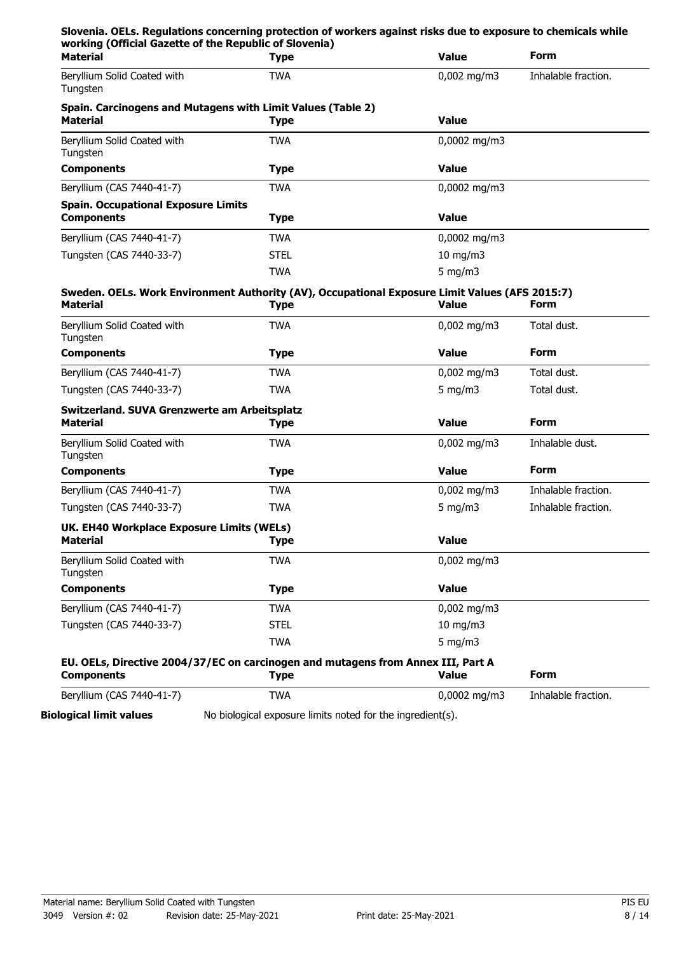| Slovenia. OELs. Regulations concerning protection of workers against risks due to exposure to chemicals while<br>working (Official Gazette of the Republic of Slovenia) |                                                                                                |               |                     |
|-------------------------------------------------------------------------------------------------------------------------------------------------------------------------|------------------------------------------------------------------------------------------------|---------------|---------------------|
| <b>Material</b>                                                                                                                                                         | <b>Type</b>                                                                                    | <b>Value</b>  | <b>Form</b>         |
| Beryllium Solid Coated with<br>Tungsten                                                                                                                                 | <b>TWA</b>                                                                                     | $0,002$ mg/m3 | Inhalable fraction. |
| Spain. Carcinogens and Mutagens with Limit Values (Table 2)                                                                                                             |                                                                                                |               |                     |
| <b>Material</b>                                                                                                                                                         | <b>Type</b>                                                                                    | <b>Value</b>  |                     |
| Beryllium Solid Coated with<br>Tungsten                                                                                                                                 | <b>TWA</b>                                                                                     | 0,0002 mg/m3  |                     |
| <b>Components</b>                                                                                                                                                       | <b>Type</b>                                                                                    | <b>Value</b>  |                     |
| Beryllium (CAS 7440-41-7)                                                                                                                                               | <b>TWA</b>                                                                                     | 0,0002 mg/m3  |                     |
| <b>Spain. Occupational Exposure Limits</b>                                                                                                                              |                                                                                                |               |                     |
| <b>Components</b>                                                                                                                                                       | <b>Type</b>                                                                                    | <b>Value</b>  |                     |
| Beryllium (CAS 7440-41-7)                                                                                                                                               | <b>TWA</b>                                                                                     | 0,0002 mg/m3  |                     |
| Tungsten (CAS 7440-33-7)                                                                                                                                                | <b>STEL</b>                                                                                    | 10 mg/m3      |                     |
|                                                                                                                                                                         | <b>TWA</b>                                                                                     | 5 mg/m $3$    |                     |
|                                                                                                                                                                         | Sweden. OELs. Work Environment Authority (AV), Occupational Exposure Limit Values (AFS 2015:7) |               |                     |
| <b>Material</b>                                                                                                                                                         | <b>Type</b>                                                                                    | <b>Value</b>  | Form                |
| Beryllium Solid Coated with<br>Tungsten                                                                                                                                 | <b>TWA</b>                                                                                     | $0,002$ mg/m3 | Total dust.         |
| <b>Components</b>                                                                                                                                                       | <b>Type</b>                                                                                    | <b>Value</b>  | Form                |
| Beryllium (CAS 7440-41-7)                                                                                                                                               | <b>TWA</b>                                                                                     | $0,002$ mg/m3 | Total dust.         |
| Tungsten (CAS 7440-33-7)                                                                                                                                                | <b>TWA</b>                                                                                     | 5 mg/m $3$    | Total dust.         |
| Switzerland. SUVA Grenzwerte am Arbeitsplatz                                                                                                                            |                                                                                                |               |                     |
| <b>Material</b>                                                                                                                                                         | <b>Type</b>                                                                                    | <b>Value</b>  | <b>Form</b>         |
| Beryllium Solid Coated with<br>Tungsten                                                                                                                                 | <b>TWA</b>                                                                                     | $0,002$ mg/m3 | Inhalable dust.     |
| <b>Components</b>                                                                                                                                                       | <b>Type</b>                                                                                    | <b>Value</b>  | Form                |
| Beryllium (CAS 7440-41-7)                                                                                                                                               | <b>TWA</b>                                                                                     | $0.002$ mg/m3 | Inhalable fraction. |
| Tungsten (CAS 7440-33-7)                                                                                                                                                | <b>TWA</b>                                                                                     | 5 mg/m $3$    | Inhalable fraction. |
| UK. EH40 Workplace Exposure Limits (WELs)                                                                                                                               |                                                                                                |               |                     |
| <b>Material</b>                                                                                                                                                         | <b>Type</b>                                                                                    | <b>Value</b>  |                     |
| Beryllium Solid Coated with<br>Tungsten                                                                                                                                 | <b>TWA</b>                                                                                     | $0,002$ mg/m3 |                     |
| <b>Components</b>                                                                                                                                                       | <b>Type</b>                                                                                    | <b>Value</b>  |                     |
| Beryllium (CAS 7440-41-7)                                                                                                                                               | <b>TWA</b>                                                                                     | $0,002$ mg/m3 |                     |
| Tungsten (CAS 7440-33-7)                                                                                                                                                | <b>STEL</b>                                                                                    | 10 mg/m3      |                     |
|                                                                                                                                                                         | <b>TWA</b>                                                                                     | 5 mg/m $3$    |                     |
|                                                                                                                                                                         | EU. OELs, Directive 2004/37/EC on carcinogen and mutagens from Annex III, Part A               |               |                     |
| <b>Components</b>                                                                                                                                                       | <b>Type</b>                                                                                    | <b>Value</b>  | Form                |
| Beryllium (CAS 7440-41-7)                                                                                                                                               | <b>TWA</b>                                                                                     | 0,0002 mg/m3  | Inhalable fraction. |

**Biological limit values** No biological exposure limits noted for the ingredient(s).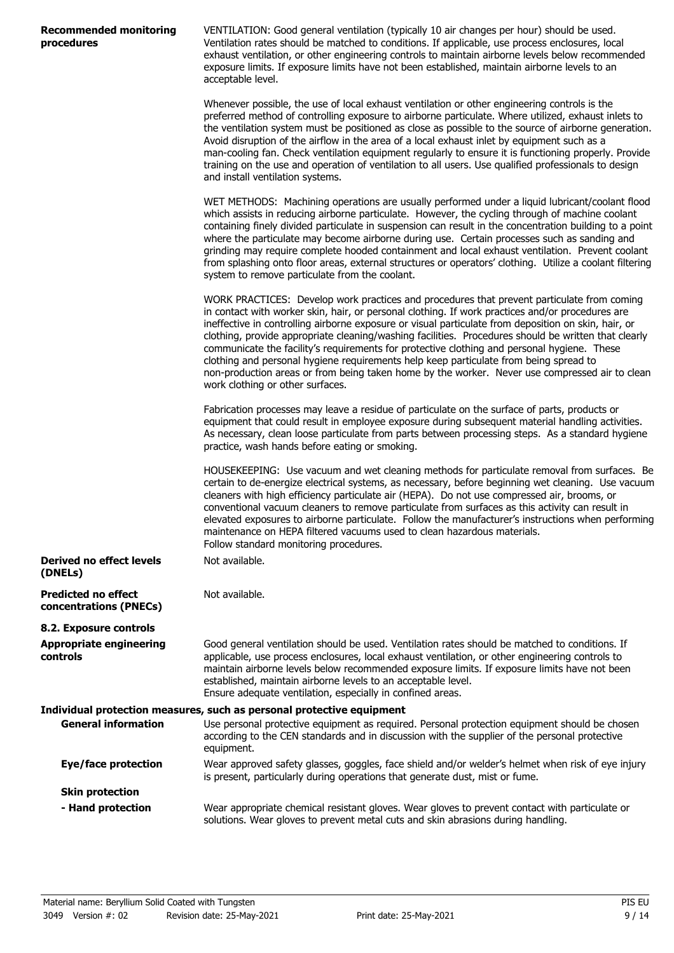| <b>Recommended monitoring</b> |  |
|-------------------------------|--|
| procedures                    |  |

VENTILATION: Good general ventilation (typically 10 air changes per hour) should be used. Ventilation rates should be matched to conditions. If applicable, use process enclosures, local exhaust ventilation, or other engineering controls to maintain airborne levels below recommended exposure limits. If exposure limits have not been established, maintain airborne levels to an acceptable level.

Whenever possible, the use of local exhaust ventilation or other engineering controls is the preferred method of controlling exposure to airborne particulate. Where utilized, exhaust inlets to the ventilation system must be positioned as close as possible to the source of airborne generation. Avoid disruption of the airflow in the area of a local exhaust inlet by equipment such as a man-cooling fan. Check ventilation equipment regularly to ensure it is functioning properly. Provide training on the use and operation of ventilation to all users. Use qualified professionals to design and install ventilation systems.

WET METHODS: Machining operations are usually performed under a liquid lubricant/coolant flood which assists in reducing airborne particulate. However, the cycling through of machine coolant containing finely divided particulate in suspension can result in the concentration building to a point where the particulate may become airborne during use. Certain processes such as sanding and grinding may require complete hooded containment and local exhaust ventilation. Prevent coolant from splashing onto floor areas, external structures or operators' clothing. Utilize a coolant filtering system to remove particulate from the coolant.

WORK PRACTICES: Develop work practices and procedures that prevent particulate from coming in contact with worker skin, hair, or personal clothing. If work practices and/or procedures are ineffective in controlling airborne exposure or visual particulate from deposition on skin, hair, or clothing, provide appropriate cleaning/washing facilities. Procedures should be written that clearly communicate the facility's requirements for protective clothing and personal hygiene. These clothing and personal hygiene requirements help keep particulate from being spread to non-production areas or from being taken home by the worker. Never use compressed air to clean work clothing or other surfaces.

Fabrication processes may leave a residue of particulate on the surface of parts, products or equipment that could result in employee exposure during subsequent material handling activities. As necessary, clean loose particulate from parts between processing steps. As a standard hygiene practice, wash hands before eating or smoking.

HOUSEKEEPING: Use vacuum and wet cleaning methods for particulate removal from surfaces. Be certain to de-energize electrical systems, as necessary, before beginning wet cleaning. Use vacuum cleaners with high efficiency particulate air (HEPA). Do not use compressed air, brooms, or conventional vacuum cleaners to remove particulate from surfaces as this activity can result in elevated exposures to airborne particulate. Follow the manufacturer's instructions when performing maintenance on HEPA filtered vacuums used to clean hazardous materials. Follow standard monitoring procedures.

| Derived no effect levels<br>(DNELs)                  | Not available. |
|------------------------------------------------------|----------------|
| <b>Predicted no effect</b><br>concentrations (PNECs) | Not available. |

**8.2. Exposure controls Appropriate engineering**

**controls**

Good general ventilation should be used. Ventilation rates should be matched to conditions. If applicable, use process enclosures, local exhaust ventilation, or other engineering controls to maintain airborne levels below recommended exposure limits. If exposure limits have not been established, maintain airborne levels to an acceptable level. Ensure adequate ventilation, especially in confined areas.

#### **Individual protection measures, such as personal protective equipment General information**

Use personal protective equipment as required. Personal protection equipment should be chosen according to the CEN standards and in discussion with the supplier of the personal protective equipment. Wear approved safety glasses, goggles, face shield and/or welder's helmet when risk of eye injury is present, particularly during operations that generate dust, mist or fume. **Eye/face protection Skin protection** Wear appropriate chemical resistant gloves. Wear gloves to prevent contact with particulate or **- Hand protection**

solutions. Wear gloves to prevent metal cuts and skin abrasions during handling.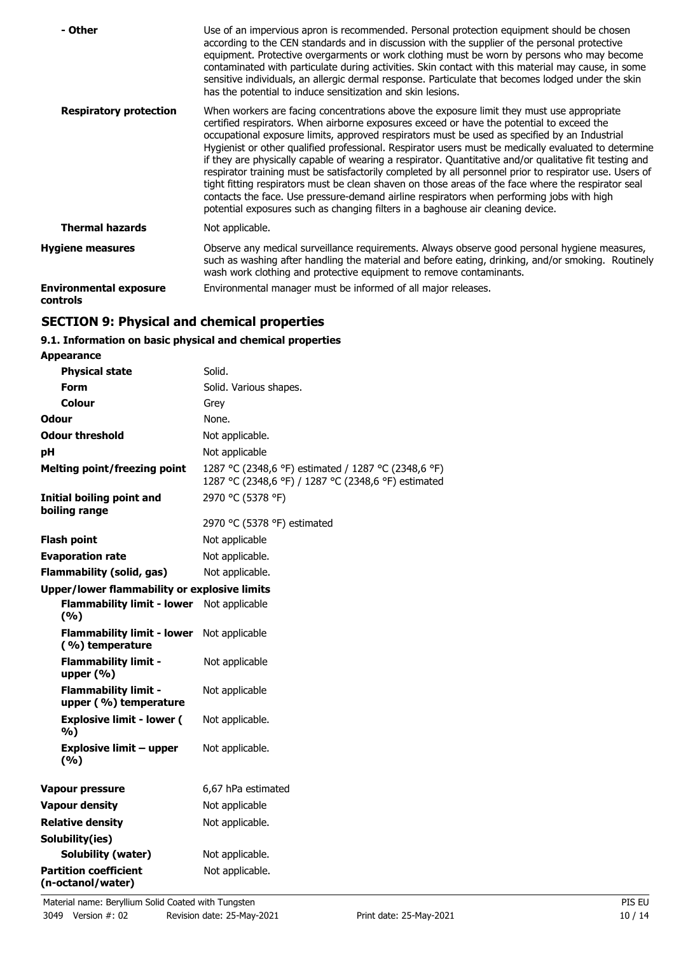| - Other                                   | Use of an impervious apron is recommended. Personal protection equipment should be chosen<br>according to the CEN standards and in discussion with the supplier of the personal protective<br>equipment. Protective overgarments or work clothing must be worn by persons who may become<br>contaminated with particulate during activities. Skin contact with this material may cause, in some<br>sensitive individuals, an allergic dermal response. Particulate that becomes lodged under the skin<br>has the potential to induce sensitization and skin lesions.                                                                                                                                                                                                                                                                                                                                         |
|-------------------------------------------|--------------------------------------------------------------------------------------------------------------------------------------------------------------------------------------------------------------------------------------------------------------------------------------------------------------------------------------------------------------------------------------------------------------------------------------------------------------------------------------------------------------------------------------------------------------------------------------------------------------------------------------------------------------------------------------------------------------------------------------------------------------------------------------------------------------------------------------------------------------------------------------------------------------|
| <b>Respiratory protection</b>             | When workers are facing concentrations above the exposure limit they must use appropriate<br>certified respirators. When airborne exposures exceed or have the potential to exceed the<br>occupational exposure limits, approved respirators must be used as specified by an Industrial<br>Hygienist or other qualified professional. Respirator users must be medically evaluated to determine<br>if they are physically capable of wearing a respirator. Quantitative and/or qualitative fit testing and<br>respirator training must be satisfactorily completed by all personnel prior to respirator use. Users of<br>tight fitting respirators must be clean shaven on those areas of the face where the respirator seal<br>contacts the face. Use pressure-demand airline respirators when performing jobs with high<br>potential exposures such as changing filters in a baghouse air cleaning device. |
| <b>Thermal hazards</b>                    | Not applicable.                                                                                                                                                                                                                                                                                                                                                                                                                                                                                                                                                                                                                                                                                                                                                                                                                                                                                              |
| <b>Hygiene measures</b>                   | Observe any medical surveillance requirements. Always observe good personal hygiene measures,<br>such as washing after handling the material and before eating, drinking, and/or smoking. Routinely<br>wash work clothing and protective equipment to remove contaminants.                                                                                                                                                                                                                                                                                                                                                                                                                                                                                                                                                                                                                                   |
| <b>Environmental exposure</b><br>controls | Environmental manager must be informed of all major releases.                                                                                                                                                                                                                                                                                                                                                                                                                                                                                                                                                                                                                                                                                                                                                                                                                                                |

# **SECTION 9: Physical and chemical properties**

## **9.1. Information on basic physical and chemical properties**

| Appearance                                           |                                                                                                            |
|------------------------------------------------------|------------------------------------------------------------------------------------------------------------|
| <b>Physical state</b>                                | Solid.                                                                                                     |
| <b>Form</b>                                          | Solid. Various shapes.                                                                                     |
| Colour                                               | Grey                                                                                                       |
| <b>Odour</b>                                         | None.                                                                                                      |
| <b>Odour threshold</b>                               | Not applicable.                                                                                            |
| pH                                                   | Not applicable                                                                                             |
| <b>Melting point/freezing point</b>                  | 1287 °C (2348,6 °F) estimated / 1287 °C (2348,6 °F)<br>1287 °C (2348,6 °F) / 1287 °C (2348,6 °F) estimated |
| Initial boiling point and<br>boiling range           | 2970 °C (5378 °F)                                                                                          |
|                                                      | 2970 °C (5378 °F) estimated                                                                                |
| <b>Flash point</b>                                   | Not applicable                                                                                             |
| <b>Evaporation rate</b>                              | Not applicable.                                                                                            |
| <b>Flammability (solid, gas)</b>                     | Not applicable.                                                                                            |
| <b>Upper/lower flammability or explosive limits</b>  |                                                                                                            |
| <b>Flammability limit - lower</b><br>(%)             | Not applicable                                                                                             |
| <b>Flammability limit - lower</b><br>(%) temperature | Not applicable                                                                                             |
| <b>Flammability limit -</b><br>upper $(% )$          | Not applicable                                                                                             |
| <b>Flammability limit -</b><br>upper (%) temperature | Not applicable                                                                                             |
| <b>Explosive limit - lower (</b><br>%)               | Not applicable.                                                                                            |
| <b>Explosive limit - upper</b><br>(9/6)              | Not applicable.                                                                                            |
| <b>Vapour pressure</b>                               | 6,67 hPa estimated                                                                                         |
| <b>Vapour density</b>                                | Not applicable                                                                                             |
| <b>Relative density</b>                              | Not applicable.                                                                                            |
| Solubility(ies)                                      |                                                                                                            |
| Solubility (water)                                   | Not applicable.                                                                                            |
| <b>Partition coefficient</b><br>(n-octanol/water)    | Not applicable.                                                                                            |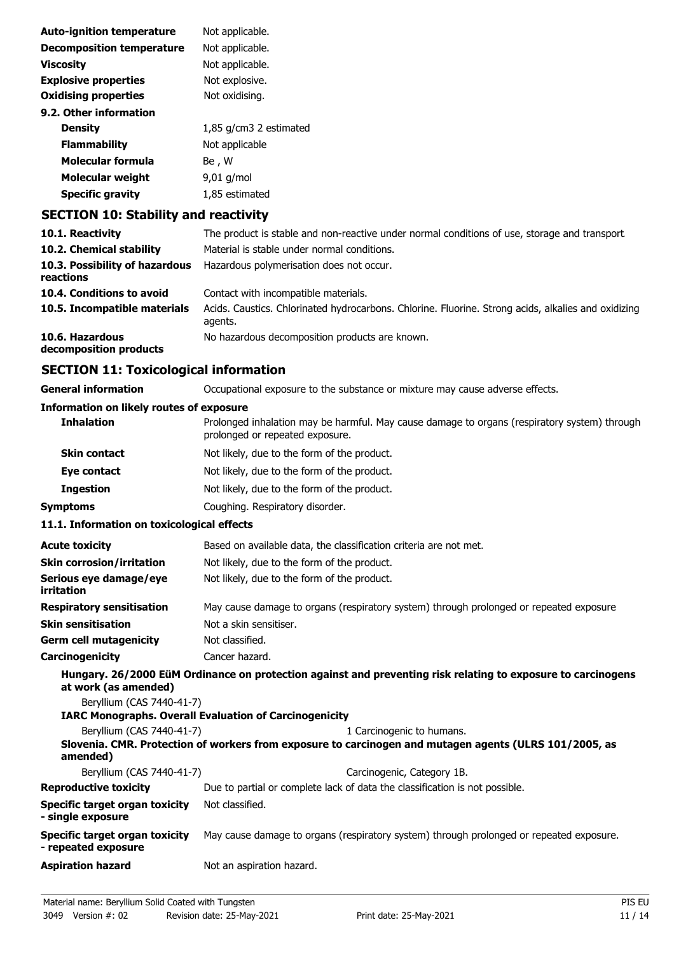| <b>Auto-ignition temperature</b> | Not applicable.        |
|----------------------------------|------------------------|
| <b>Decomposition temperature</b> | Not applicable.        |
| <b>Viscosity</b>                 | Not applicable.        |
| <b>Explosive properties</b>      | Not explosive.         |
| <b>Oxidising properties</b>      | Not oxidising.         |
| 9.2. Other information           |                        |
| <b>Density</b>                   | 1,85 g/cm3 2 estimated |
| <b>Flammability</b>              | Not applicable         |
| Molecular formula                | Be , W                 |
| <b>Molecular weight</b>          | $9,01$ g/mol           |
| <b>Specific gravity</b>          | 1,85 estimated         |

# **SECTION 10: Stability and reactivity**

| 10.1. Reactivity                            | The product is stable and non-reactive under normal conditions of use, storage and transport.                  |
|---------------------------------------------|----------------------------------------------------------------------------------------------------------------|
| 10.2. Chemical stability                    | Material is stable under normal conditions.                                                                    |
| 10.3. Possibility of hazardous<br>reactions | Hazardous polymerisation does not occur.                                                                       |
| 10.4. Conditions to avoid                   | Contact with incompatible materials.                                                                           |
| 10.5. Incompatible materials                | Acids. Caustics. Chlorinated hydrocarbons. Chlorine. Fluorine. Strong acids, alkalies and oxidizing<br>agents. |
| 10.6. Hazardous<br>decomposition products   | No hazardous decomposition products are known.                                                                 |

# **SECTION 11: Toxicological information**

| <b>General information</b>                                 | Occupational exposure to the substance or mixture may cause adverse effects.                                                        |
|------------------------------------------------------------|-------------------------------------------------------------------------------------------------------------------------------------|
| <b>Information on likely routes of exposure</b>            |                                                                                                                                     |
| <b>Inhalation</b>                                          | Prolonged inhalation may be harmful. May cause damage to organs (respiratory system) through<br>prolonged or repeated exposure.     |
| <b>Skin contact</b>                                        | Not likely, due to the form of the product.                                                                                         |
| Eye contact                                                | Not likely, due to the form of the product.                                                                                         |
| <b>Ingestion</b>                                           | Not likely, due to the form of the product.                                                                                         |
| <b>Symptoms</b>                                            | Coughing. Respiratory disorder.                                                                                                     |
| 11.1. Information on toxicological effects                 |                                                                                                                                     |
| <b>Acute toxicity</b>                                      | Based on available data, the classification criteria are not met.                                                                   |
| <b>Skin corrosion/irritation</b>                           | Not likely, due to the form of the product.                                                                                         |
| Serious eye damage/eye<br><b>irritation</b>                | Not likely, due to the form of the product.                                                                                         |
| <b>Respiratory sensitisation</b>                           | May cause damage to organs (respiratory system) through prolonged or repeated exposure.                                             |
| <b>Skin sensitisation</b>                                  | Not a skin sensitiser.                                                                                                              |
| <b>Germ cell mutagenicity</b>                              | Not classified.                                                                                                                     |
| Carcinogenicity                                            | Cancer hazard.                                                                                                                      |
| at work (as amended)<br>Beryllium (CAS 7440-41-7)          | Hungary. 26/2000 EüM Ordinance on protection against and preventing risk relating to exposure to carcinogens                        |
|                                                            | <b>IARC Monographs. Overall Evaluation of Carcinogenicity</b>                                                                       |
| Beryllium (CAS 7440-41-7)<br>amended)                      | 1 Carcinogenic to humans.<br>Slovenia. CMR. Protection of workers from exposure to carcinogen and mutagen agents (ULRS 101/2005, as |
| Beryllium (CAS 7440-41-7)                                  | Carcinogenic, Category 1B.                                                                                                          |
| <b>Reproductive toxicity</b>                               | Due to partial or complete lack of data the classification is not possible.                                                         |
| <b>Specific target organ toxicity</b><br>- single exposure | Not classified.                                                                                                                     |
| Specific target organ toxicity<br>- repeated exposure      | May cause damage to organs (respiratory system) through prolonged or repeated exposure.                                             |
| <b>Aspiration hazard</b>                                   | Not an aspiration hazard.                                                                                                           |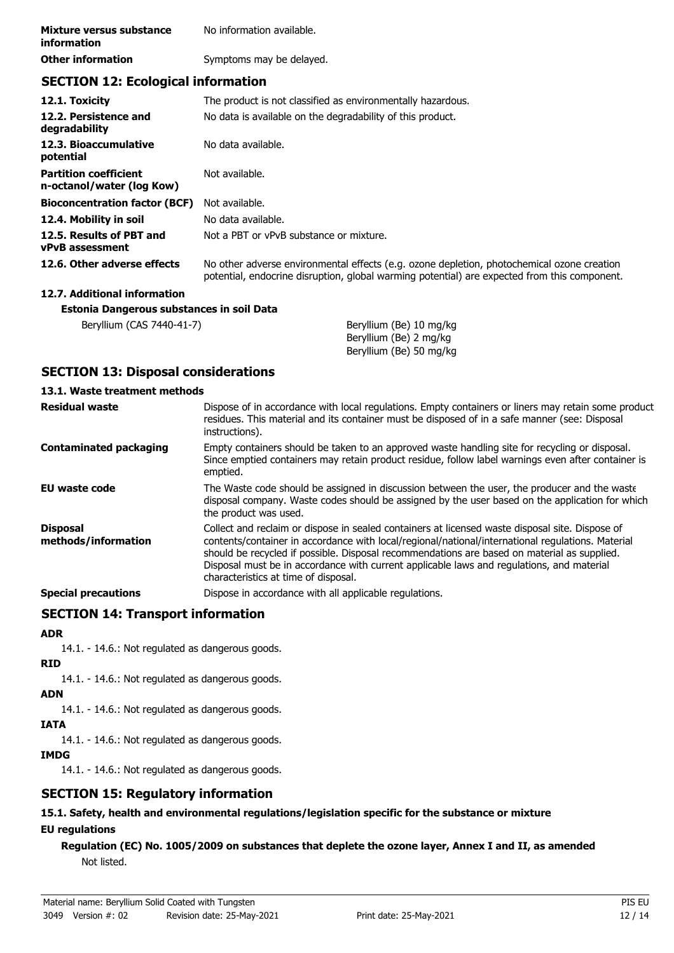| Mixture versus substance<br><i>information</i> | No information available. |
|------------------------------------------------|---------------------------|
| <b>Other information</b>                       | Symptoms may be delayed.  |

## **SECTION 12: Ecological information**

| 12.1. Toxicity                                            | The product is not classified as environmentally hazardous.                                                                                                                                |
|-----------------------------------------------------------|--------------------------------------------------------------------------------------------------------------------------------------------------------------------------------------------|
| 12.2. Persistence and<br>degradability                    | No data is available on the degradability of this product.                                                                                                                                 |
| 12.3. Bioaccumulative<br>potential                        | No data available.                                                                                                                                                                         |
| <b>Partition coefficient</b><br>n-octanol/water (log Kow) | Not available.                                                                                                                                                                             |
| <b>Bioconcentration factor (BCF)</b>                      | Not available.                                                                                                                                                                             |
| 12.4. Mobility in soil                                    | No data available.                                                                                                                                                                         |
| 12.5. Results of PBT and<br><b>vPvB</b> assessment        | Not a PBT or vPvB substance or mixture.                                                                                                                                                    |
| 12.6. Other adverse effects                               | No other adverse environmental effects (e.g. ozone depletion, photochemical ozone creation<br>potential, endocrine disruption, global warming potential) are expected from this component. |
| 12.7. Additional information                              |                                                                                                                                                                                            |
| Estonia Dangerous substances in soil Data                 |                                                                                                                                                                                            |
| Beryllium (CAS 7440-41-7)                                 | Beryllium (Be) 10 mg/kg                                                                                                                                                                    |

## **SECTION 13: Disposal considerations**

#### **13.1. Waste treatment methods**

| <b>Residual waste</b>                  | Dispose of in accordance with local regulations. Empty containers or liners may retain some product<br>residues. This material and its container must be disposed of in a safe manner (see: Disposal<br>instructions).                                                                                                                                                                                                                   |
|----------------------------------------|------------------------------------------------------------------------------------------------------------------------------------------------------------------------------------------------------------------------------------------------------------------------------------------------------------------------------------------------------------------------------------------------------------------------------------------|
| <b>Contaminated packaging</b>          | Empty containers should be taken to an approved waste handling site for recycling or disposal.<br>Since emptied containers may retain product residue, follow label warnings even after container is<br>emptied.                                                                                                                                                                                                                         |
| EU waste code                          | The Waste code should be assigned in discussion between the user, the producer and the waste<br>disposal company. Waste codes should be assigned by the user based on the application for which<br>the product was used.                                                                                                                                                                                                                 |
| <b>Disposal</b><br>methods/information | Collect and reclaim or dispose in sealed containers at licensed waste disposal site. Dispose of<br>contents/container in accordance with local/regional/national/international regulations. Material<br>should be recycled if possible. Disposal recommendations are based on material as supplied.<br>Disposal must be in accordance with current applicable laws and regulations, and material<br>characteristics at time of disposal. |
| <b>Special precautions</b>             | Dispose in accordance with all applicable regulations.                                                                                                                                                                                                                                                                                                                                                                                   |

Beryllium (Be) 2 mg/kg Beryllium (Be) 50 mg/kg

## **SECTION 14: Transport information**

## **ADR**

14.1. - 14.6.: Not regulated as dangerous goods.

## **RID**

14.1. - 14.6.: Not regulated as dangerous goods.

## **ADN**

14.1. - 14.6.: Not regulated as dangerous goods.

## **IATA**

14.1. - 14.6.: Not regulated as dangerous goods.

## **IMDG**

14.1. - 14.6.: Not regulated as dangerous goods.

# **SECTION 15: Regulatory information**

## **15.1. Safety, health and environmental regulations/legislation specific for the substance or mixture EU regulations**

**Regulation (EC) No. 1005/2009 on substances that deplete the ozone layer, Annex I and II, as amended** Not listed.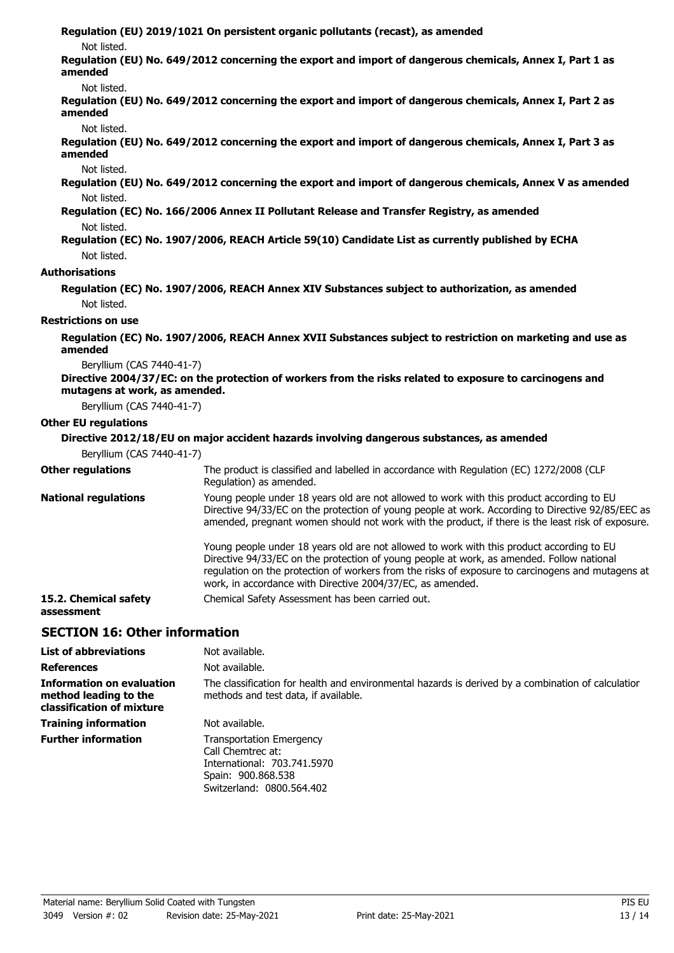**Regulation (EU) 2019/1021 On persistent organic pollutants (recast), as amended**

Not listed.

**Regulation (EU) No. 649/2012 concerning the export and import of dangerous chemicals, Annex I, Part 1 as amended**

Not listed.

**Regulation (EU) No. 649/2012 concerning the export and import of dangerous chemicals, Annex I, Part 2 as amended**

Not listed.

**Regulation (EU) No. 649/2012 concerning the export and import of dangerous chemicals, Annex I, Part 3 as amended**

Not listed.

**Regulation (EU) No. 649/2012 concerning the export and import of dangerous chemicals, Annex V as amended** Not listed.

**Regulation (EC) No. 166/2006 Annex II Pollutant Release and Transfer Registry, as amended** Not listed.

**Regulation (EC) No. 1907/2006, REACH Article 59(10) Candidate List as currently published by ECHA** Not listed.

#### **Authorisations**

**Regulation (EC) No. 1907/2006, REACH Annex XIV Substances subject to authorization, as amended** Not listed.

#### **Restrictions on use**

**Regulation (EC) No. 1907/2006, REACH Annex XVII Substances subject to restriction on marketing and use as amended**

Beryllium (CAS 7440-41-7)

#### **Directive 2004/37/EC: on the protection of workers from the risks related to exposure to carcinogens and mutagens at work, as amended.**

Beryllium (CAS 7440-41-7)

#### **Other EU regulations**

#### **Directive 2012/18/EU on major accident hazards involving dangerous substances, as amended**

Beryllium (CAS 7440-41-7)

| <b>Other regulations</b>            | The product is classified and labelled in accordance with Regulation (EC) 1272/2008 (CLP                                                                                                                                                                                                                                                                  |
|-------------------------------------|-----------------------------------------------------------------------------------------------------------------------------------------------------------------------------------------------------------------------------------------------------------------------------------------------------------------------------------------------------------|
|                                     | Regulation) as amended.                                                                                                                                                                                                                                                                                                                                   |
| <b>National regulations</b>         | Young people under 18 years old are not allowed to work with this product according to EU<br>Directive 94/33/EC on the protection of young people at work. According to Directive 92/85/EEC as<br>amended, pregnant women should not work with the product, if there is the least risk of exposure.                                                       |
|                                     | Young people under 18 years old are not allowed to work with this product according to EU<br>Directive 94/33/EC on the protection of young people at work, as amended. Follow national<br>regulation on the protection of workers from the risks of exposure to carcinogens and mutagens at<br>work, in accordance with Directive 2004/37/EC, as amended. |
| 15.2. Chemical safety<br>assessment | Chemical Safety Assessment has been carried out.                                                                                                                                                                                                                                                                                                          |

#### **SECTION 16: Other information**

| <b>List of abbreviations</b>                                                           | Not available.                                                                                                                             |
|----------------------------------------------------------------------------------------|--------------------------------------------------------------------------------------------------------------------------------------------|
| <b>References</b>                                                                      | Not available.                                                                                                                             |
| <b>Information on evaluation</b><br>method leading to the<br>classification of mixture | The classification for health and environmental hazards is derived by a combination of calculatior<br>methods and test data, if available. |
| <b>Training information</b>                                                            | Not available.                                                                                                                             |
| <b>Further information</b>                                                             | <b>Transportation Emergency</b><br>Call Chemtrec at:<br>International: 703.741.5970<br>Spain: 900.868.538<br>Switzerland: 0800.564.402     |